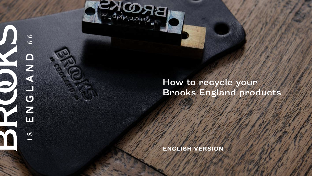

## How to recycle your Brooks England products

ENGLISH VERSION

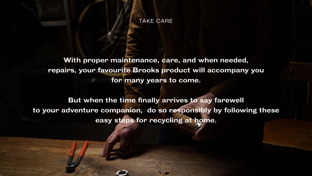With proper maintenance, care, and when needed, repairs, your favourite Brooks product will accompany you for many years to come.

But when the time finally arrives to say farewell to your adventure companion, do so responsibly by following these easy steps for recycling at home.



## TAKE CARE

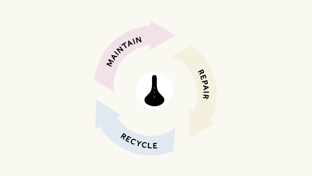

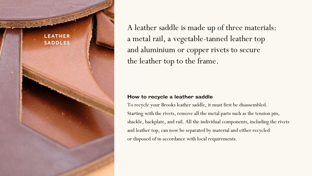A leather saddle is made up of three materials: a metal rail, a vegetable-tanned leather top and aluminium or copper rivets to secure the leather top to the frame.



How to recycle a leather saddle To recycle your Brooks leather saddle, it must first be disassembled. Starting with the rivets, remove all the metal parts such as the tension pin, shackle, backplate, and rail. All the individual components, including the rivets and leather top, can now be separated by material and either recycled or disposed of in accordance with local requirements.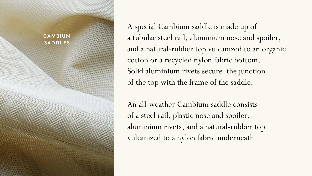

A special Cambium saddle is made up of a tubular steel rail, aluminium nose and spoiler, and a natural-rubber top vulcanized to an organic cotton or a recycled nylon fabric bottom. Solid aluminium rivets secure the junction of the top with the frame of the saddle.

An all-weather Cambium saddle consists of a steel rail, plastic nose and spoiler, aluminium rivets, and a natural-rubber top vulcanized to a nylon fabric underneath.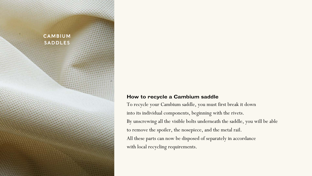### CAMBIUM SADDLES

### How to recycle a Cambium saddle

To recycle your Cambium saddle, you must first break it down into its individual components, beginning with the rivets.

By unscrewing all the visible bolts underneath the saddle, you will be able to remove the spoiler, the nosepiece, and the metal rail.

All these parts can now be disposed of separately in accordance

with local recycling requirements.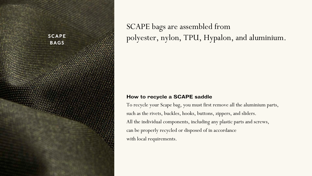

SCAPE bags are assembled from polyester, nylon, TPU, Hypalon, and aluminium.

How to recycle a SCAPE saddle To recycle your Scape bag, you must first remove all the aluminium parts, such as the rivets, buckles, hooks, buttons, zippers, and sliders. All the individual components, including any plastic parts and screws, can be properly recycled or disposed of in accordance with local requirements.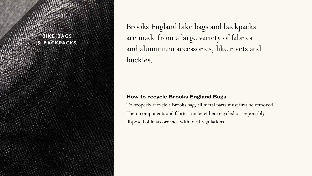Brooks England bike bags and backpacks are made from a large variety of fabrics and aluminium accessories, like rivets and

buckles.

How to recycle Brooks England Bags To properly recycle a Brooks bag, all metal parts must first be removed. Then, components and fabrics can be either recycled or responsibly disposed of in accordance with local regulations.

### BIKE BAGS & BACKPACKS